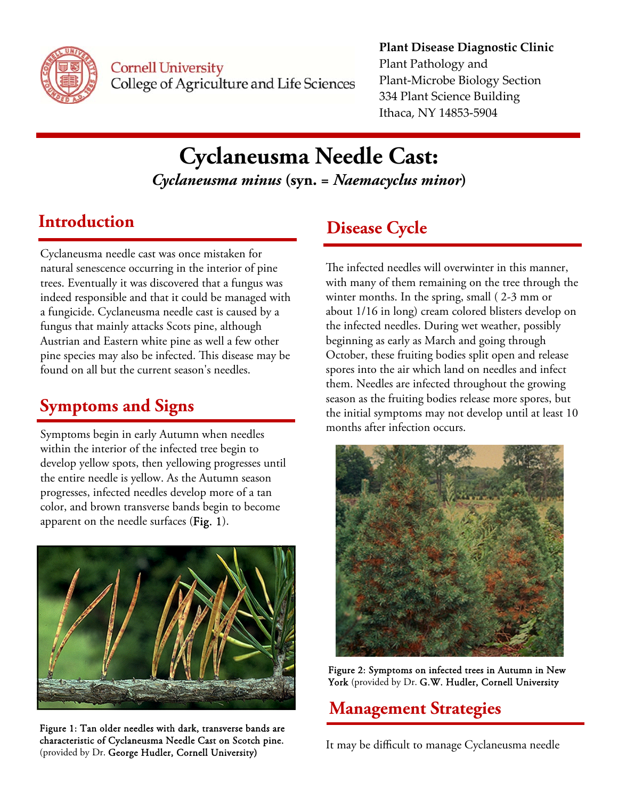

**Cornell University** College of Agriculture and Life Sciences

#### **Plant Disease Diagnostic Clinic** Plant Pathology and Plant‐Microbe Biology Section 334 Plant Science Building Ithaca, NY 14853‐5904

# **Cyclaneusma Needle Cast:**

*Cyclaneusma minus* **(syn. =** *Naemacyclus minor***)** 

Cyclaneusma needle cast was once mistaken for natural senescence occurring in the interior of pine trees. Eventually it was discovered that a fungus was indeed responsible and that it could be managed with a fungicide. Cyclaneusma needle cast is caused by a fungus that mainly attacks Scots pine, although Austrian and Eastern white pine as well a few other pine species may also be infected. This disease may be found on all but the current season's needles.

## **Symptoms and Signs**

Symptoms begin in early Autumn when needles within the interior of the infected tree begin to develop yellow spots, then yellowing progresses until the entire needle is yellow. As the Autumn season progresses, infected needles develop more of a tan color, and brown transverse bands begin to become apparent on the needle surfaces (Fig. 1).



Figure 1: Tan older needles with dark, transverse bands are characteristic of Cyclaneusma Needle Cast on Scotch pine. (provided by Dr. George Hudler, Cornell University)

## **Introduction Disease Cycle**

The infected needles will overwinter in this manner, with many of them remaining on the tree through the winter months. In the spring, small ( 2-3 mm or about 1/16 in long) cream colored blisters develop on the infected needles. During wet weather, possibly beginning as early as March and going through October, these fruiting bodies split open and release spores into the air which land on needles and infect them. Needles are infected throughout the growing season as the fruiting bodies release more spores, but the initial symptoms may not develop until at least 10 months after infection occurs.



Figure 2: Symptoms on infected trees in Autumn in New York (provided by Dr. G.W. Hudler, Cornell University

## **Management Strategies**

It may be difficult to manage Cyclaneusma needle